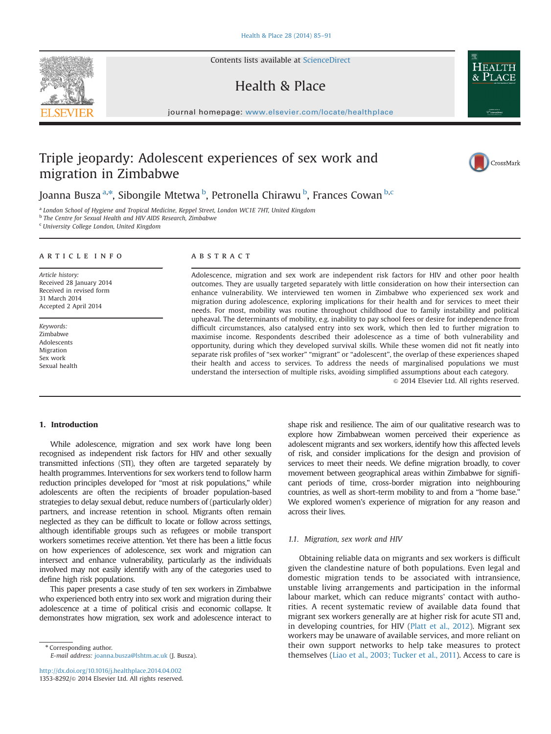Contents lists available at [ScienceDirect](www.sciencedirect.com/science/journal/13538292)

# Health & Place

journal homepage: <www.elsevier.com/locate/healthplace>/healthplace/healthplace/healthplace/healthplace/healthplace/healthplace/healthplace/healthplace/healthplace/healthplace/healthplace/healthplace/healthplace/healthplace

# Triple jeopardy: Adolescent experiences of sex work and migration in Zimbabwe

Joanna Busza <sup>a,</sup>\*, Sibongile Mtetwa <sup>b</sup>, Petronella Chirawu <sup>b</sup>, Frances Cowan <sup>b,c</sup>

<sup>a</sup> London School of Hygiene and Tropical Medicine, Keppel Street, London WC1E 7HT, United Kingdom

**b** The Centre for Sexual Health and HIV AIDS Research, Zimbabwe

<sup>c</sup> University College London, United Kingdom

### article info

Article history: Received 28 January 2014 Received in revised form 31 March 2014 Accepted 2 April 2014

Keywords: Zimbabwe Adolescents Migration Sex work Sexual health

## **ABSTRACT**

Adolescence, migration and sex work are independent risk factors for HIV and other poor health outcomes. They are usually targeted separately with little consideration on how their intersection can enhance vulnerability. We interviewed ten women in Zimbabwe who experienced sex work and migration during adolescence, exploring implications for their health and for services to meet their needs. For most, mobility was routine throughout childhood due to family instability and political upheaval. The determinants of mobility, e.g. inability to pay school fees or desire for independence from difficult circumstances, also catalysed entry into sex work, which then led to further migration to maximise income. Respondents described their adolescence as a time of both vulnerability and opportunity, during which they developed survival skills. While these women did not fit neatly into separate risk profiles of "sex worker" "migrant" or "adolescent", the overlap of these experiences shaped their health and access to services. To address the needs of marginalised populations we must understand the intersection of multiple risks, avoiding simplified assumptions about each category.  $©$  2014 Elsevier Ltd. All rights reserved.

## 1. Introduction

While adolescence, migration and sex work have long been recognised as independent risk factors for HIV and other sexually transmitted infections (STI), they often are targeted separately by health programmes. Interventions for sex workers tend to follow harm reduction principles developed for "most at risk populations," while adolescents are often the recipients of broader population-based strategies to delay sexual debut, reduce numbers of (particularly older) partners, and increase retention in school. Migrants often remain neglected as they can be difficult to locate or follow across settings, although identifiable groups such as refugees or mobile transport workers sometimes receive attention. Yet there has been a little focus on how experiences of adolescence, sex work and migration can intersect and enhance vulnerability, particularly as the individuals involved may not easily identify with any of the categories used to define high risk populations.

This paper presents a case study of ten sex workers in Zimbabwe who experienced both entry into sex work and migration during their adolescence at a time of political crisis and economic collapse. It demonstrates how migration, sex work and adolescence interact to

\* Corresponding author. E-mail address: [joanna.busza@lshtm.ac.uk](mailto:joanna.busza@lshtm.ac.uk) (J. Busza).

<http://dx.doi.org/10.1016/j.healthplace.2014.04.002> 1353-8292/& 2014 Elsevier Ltd. All rights reserved. shape risk and resilience. The aim of our qualitative research was to explore how Zimbabwean women perceived their experience as adolescent migrants and sex workers, identify how this affected levels of risk, and consider implications for the design and provision of services to meet their needs. We define migration broadly, to cover movement between geographical areas within Zimbabwe for significant periods of time, cross-border migration into neighbouring countries, as well as short-term mobility to and from a "home base." We explored women's experience of migration for any reason and across their lives.

## 1.1. Migration, sex work and HIV

Obtaining reliable data on migrants and sex workers is difficult given the clandestine nature of both populations. Even legal and domestic migration tends to be associated with intransience, unstable living arrangements and participation in the informal labour market, which can reduce migrants' contact with authorities. A recent systematic review of available data found that migrant sex workers generally are at higher risk for acute STI and, in developing countries, for HIV ([Platt et al., 2012\)](#page-6-0). Migrant sex workers may be unaware of available services, and more reliant on their own support networks to help take measures to protect themselves ([Liao et al., 2003; Tucker et al., 2011\)](#page-6-0). Access to care is





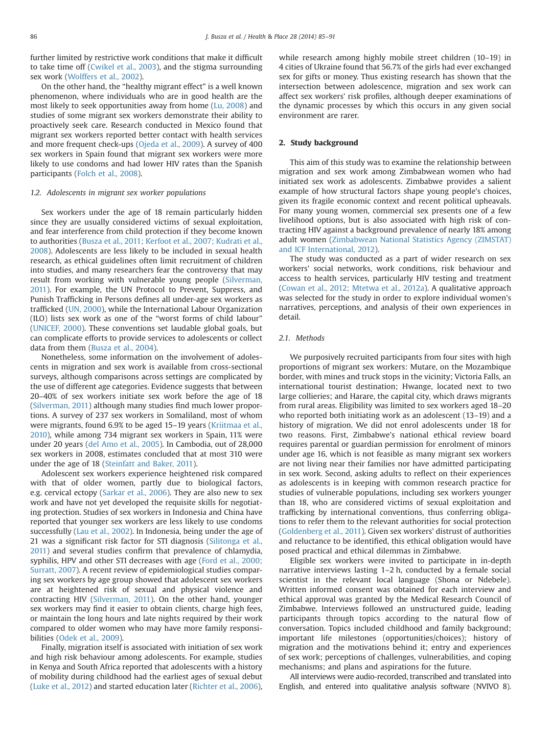further limited by restrictive work conditions that make it difficult to take time off ([Cwikel et al., 2003](#page-5-0)), and the stigma surrounding sex work [\(Wolffers et al., 2002\)](#page-6-0).

On the other hand, the "healthy migrant effect" is a well known phenomenon, where individuals who are in good health are the most likely to seek opportunities away from home [\(Lu, 2008\)](#page-6-0) and studies of some migrant sex workers demonstrate their ability to proactively seek care. Research conducted in Mexico found that migrant sex workers reported better contact with health services and more frequent check-ups [\(Ojeda et al., 2009\)](#page-6-0). A survey of 400 sex workers in Spain found that migrant sex workers were more likely to use condoms and had lower HIV rates than the Spanish participants ([Folch et al., 2008](#page-5-0)).

## 1.2. Adolescents in migrant sex worker populations

Sex workers under the age of 18 remain particularly hidden since they are usually considered victims of sexual exploitation, and fear interference from child protection if they become known to authorities ([Busza et al., 2011; Kerfoot et al., 2007; Kudrati et al.,](#page-5-0) [2008\)](#page-5-0). Adolescents are less likely to be included in sexual health research, as ethical guidelines often limit recruitment of children into studies, and many researchers fear the controversy that may result from working with vulnerable young people ([Silverman,](#page-6-0) [2011\)](#page-6-0). For example, the UN Protocol to Prevent, Suppress, and Punish Trafficking in Persons defines all under-age sex workers as trafficked ([UN, 2000\)](#page-6-0), while the International Labour Organization (ILO) lists sex work as one of the "worst forms of child labour" ([UNICEF, 2000](#page-6-0)). These conventions set laudable global goals, but can complicate efforts to provide services to adolescents or collect data from them ([Busza et al., 2004\)](#page-5-0).

Nonetheless, some information on the involvement of adolescents in migration and sex work is available from cross-sectional surveys, although comparisons across settings are complicated by the use of different age categories. Evidence suggests that between 20–40% of sex workers initiate sex work before the age of 18 ([Silverman, 2011\)](#page-6-0) although many studies find much lower proportions. A survey of 237 sex workers in Somaliland, most of whom were migrants, found 6.9% to be aged 15–19 years [\(Kriitmaa et al.,](#page-5-0) [2010\)](#page-5-0), while among 734 migrant sex workers in Spain, 11% were under 20 years ([del Amo et al., 2005\)](#page-5-0). In Cambodia, out of 28,000 sex workers in 2008, estimates concluded that at most 310 were under the age of 18 ([Steinfatt and Baker, 2011\)](#page-6-0).

Adolescent sex workers experience heightened risk compared with that of older women, partly due to biological factors, e.g. cervical ectopy ([Sarkar et al., 2006\)](#page-6-0). They are also new to sex work and have not yet developed the requisite skills for negotiating protection. Studies of sex workers in Indonesia and China have reported that younger sex workers are less likely to use condoms successfully ([Lau et al., 2002](#page-5-0)). In Indonesia, being under the age of 21 was a significant risk factor for STI diagnosis [\(Silitonga et al.,](#page-6-0) [2011\)](#page-6-0) and several studies confirm that prevalence of chlamydia, syphilis, HPV and other STI decreases with age [\(Ford et al., 2000;](#page-5-0) [Surratt, 2007](#page-6-0)). A recent review of epidemiological studies comparing sex workers by age group showed that adolescent sex workers are at heightened risk of sexual and physical violence and contracting HIV ([Silverman, 2011\)](#page-6-0). On the other hand, younger sex workers may find it easier to obtain clients, charge high fees, or maintain the long hours and late nights required by their work compared to older women who may have more family responsi-bilities ([Odek et al., 2009\)](#page-6-0).

Finally, migration itself is associated with initiation of sex work and high risk behaviour among adolescents. For example, studies in Kenya and South Africa reported that adolescents with a history of mobility during childhood had the earliest ages of sexual debut ([Luke et al., 2012](#page-6-0)) and started education later [\(Richter et al., 2006\)](#page-6-0), while research among highly mobile street children (10–19) in 4 cities of Ukraine found that 56.7% of the girls had ever exchanged sex for gifts or money. Thus existing research has shown that the intersection between adolescence, migration and sex work can affect sex workers' risk profiles, although deeper examinations of the dynamic processes by which this occurs in any given social environment are rarer.

## 2. Study background

This aim of this study was to examine the relationship between migration and sex work among Zimbabwean women who had initiated sex work as adolescents. Zimbabwe provides a salient example of how structural factors shape young people's choices, given its fragile economic context and recent political upheavals. For many young women, commercial sex presents one of a few livelihood options, but is also associated with high risk of contracting HIV against a background prevalence of nearly 18% among adult women [\(Zimbabwean National Statistics Agency \(ZIMSTAT\)](#page-6-0) [and ICF International, 2012](#page-6-0)).

The study was conducted as a part of wider research on sex workers' social networks, work conditions, risk behaviour and access to health services, particularly HIV testing and treatment ([Cowan et al., 2012; Mtetwa et al., 2012a\)](#page-6-0). A qualitative approach was selected for the study in order to explore individual women's narratives, perceptions, and analysis of their own experiences in detail.

## 2.1. Methods

We purposively recruited participants from four sites with high proportions of migrant sex workers: Mutare, on the Mozambique border, with mines and truck stops in the vicinity; Victoria Falls, an international tourist destination; Hwange, located next to two large collieries; and Harare, the capital city, which draws migrants from rural areas. Eligibility was limited to sex workers aged 18–20 who reported both initiating work as an adolescent (13–19) and a history of migration. We did not enrol adolescents under 18 for two reasons. First, Zimbabwe's national ethical review board requires parental or guardian permission for enrolment of minors under age 16, which is not feasible as many migrant sex workers are not living near their families nor have admitted participating in sex work. Second, asking adults to reflect on their experiences as adolescents is in keeping with common research practice for studies of vulnerable populations, including sex workers younger than 18, who are considered victims of sexual exploitation and trafficking by international conventions, thus conferring obligations to refer them to the relevant authorities for social protection ([Goldenberg et al., 2011\)](#page-5-0). Given sex workers' distrust of authorities and reluctance to be identified, this ethical obligation would have posed practical and ethical dilemmas in Zimbabwe.

Eligible sex workers were invited to participate in in-depth narrative interviews lasting 1–2 h, conducted by a female social scientist in the relevant local language (Shona or Ndebele). Written informed consent was obtained for each interview and ethical approval was granted by the Medical Research Council of Zimbabwe. Interviews followed an unstructured guide, leading participants through topics according to the natural flow of conversation. Topics included childhood and family background; important life milestones (opportunities/choices); history of migration and the motivations behind it; entry and experiences of sex work; perceptions of challenges, vulnerabilities, and coping mechanisms; and plans and aspirations for the future.

All interviews were audio-recorded, transcribed and translated into English, and entered into qualitative analysis software (NVIVO 8).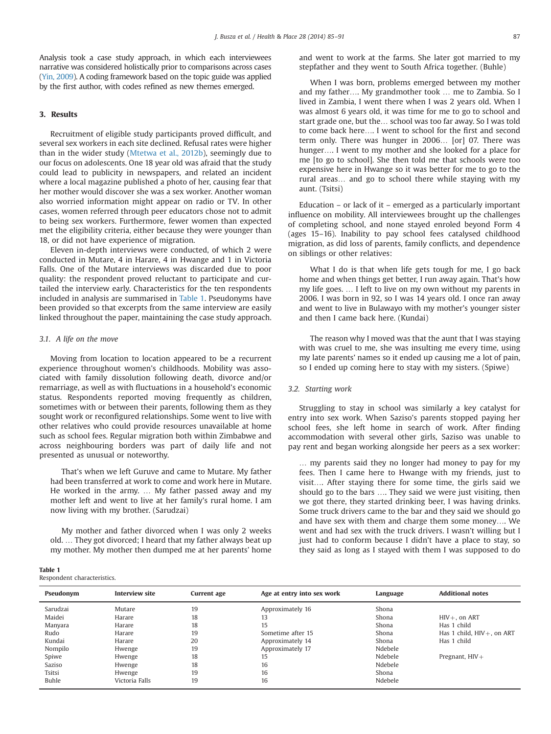Analysis took a case study approach, in which each interviewees narrative was considered holistically prior to comparisons across cases [\(Yin, 2009](#page-6-0)). A coding framework based on the topic guide was applied by the first author, with codes refined as new themes emerged.

# 3. Results

Recruitment of eligible study participants proved difficult, and several sex workers in each site declined. Refusal rates were higher than in the wider study [\(Mtetwa et al., 2012b](#page-6-0)), seemingly due to our focus on adolescents. One 18 year old was afraid that the study could lead to publicity in newspapers, and related an incident where a local magazine published a photo of her, causing fear that her mother would discover she was a sex worker. Another woman also worried information might appear on radio or TV. In other cases, women referred through peer educators chose not to admit to being sex workers. Furthermore, fewer women than expected met the eligibility criteria, either because they were younger than 18, or did not have experience of migration.

Eleven in-depth interviews were conducted, of which 2 were conducted in Mutare, 4 in Harare, 4 in Hwange and 1 in Victoria Falls. One of the Mutare interviews was discarded due to poor quality: the respondent proved reluctant to participate and curtailed the interview early. Characteristics for the ten respondents included in analysis are summarised in Table 1. Pseudonyms have been provided so that excerpts from the same interview are easily linked throughout the paper, maintaining the case study approach.

## 3.1. A life on the move

Moving from location to location appeared to be a recurrent experience throughout women's childhoods. Mobility was associated with family dissolution following death, divorce and/or remarriage, as well as with fluctuations in a household's economic status. Respondents reported moving frequently as children, sometimes with or between their parents, following them as they sought work or reconfigured relationships. Some went to live with other relatives who could provide resources unavailable at home such as school fees. Regular migration both within Zimbabwe and across neighbouring borders was part of daily life and not presented as unusual or noteworthy.

That's when we left Guruve and came to Mutare. My father had been transferred at work to come and work here in Mutare. He worked in the army. … My father passed away and my mother left and went to live at her family's rural home. I am now living with my brother. (Sarudzai)

My mother and father divorced when I was only 2 weeks old. … They got divorced; I heard that my father always beat up my mother. My mother then dumped me at her parents' home and went to work at the farms. She later got married to my stepfather and they went to South Africa together. (Buhle)

When I was born, problems emerged between my mother and my father…. My grandmother took … me to Zambia. So I lived in Zambia, I went there when I was 2 years old. When I was almost 6 years old, it was time for me to go to school and start grade one, but the… school was too far away. So I was told to come back here…. I went to school for the first and second term only. There was hunger in 2006… [or] 07. There was hunger…. I went to my mother and she looked for a place for me [to go to school]. She then told me that schools were too expensive here in Hwange so it was better for me to go to the rural areas… and go to school there while staying with my aunt. (Tsitsi)

Education – or lack of it – emerged as a particularly important influence on mobility. All interviewees brought up the challenges of completing school, and none stayed enroled beyond Form 4 (ages 15–16). Inability to pay school fees catalysed childhood migration, as did loss of parents, family conflicts, and dependence on siblings or other relatives:

What I do is that when life gets tough for me, I go back home and when things get better, I run away again. That's how my life goes. … I left to live on my own without my parents in 2006. I was born in 92, so I was 14 years old. I once ran away and went to live in Bulawayo with my mother's younger sister and then I came back here. (Kundai)

The reason why I moved was that the aunt that I was staying with was cruel to me, she was insulting me every time, using my late parents' names so it ended up causing me a lot of pain, so I ended up coming here to stay with my sisters. (Spiwe)

# 3.2. Starting work

Struggling to stay in school was similarly a key catalyst for entry into sex work. When Saziso's parents stopped paying her school fees, she left home in search of work. After finding accommodation with several other girls, Saziso was unable to pay rent and began working alongside her peers as a sex worker:

… my parents said they no longer had money to pay for my fees. Then I came here to Hwange with my friends, just to visit…. After staying there for some time, the girls said we should go to the bars …. They said we were just visiting, then we got there, they started drinking beer, I was having drinks. Some truck drivers came to the bar and they said we should go and have sex with them and charge them some money…. We went and had sex with the truck drivers. I wasn't willing but I just had to conform because I didn't have a place to stay, so they said as long as I stayed with them I was supposed to do

| . |  |  |
|---|--|--|
|---|--|--|

| Respondent characteristics. |  |
|-----------------------------|--|
|-----------------------------|--|

| Pseudonym     | <b>Interview site</b> | Current age | Age at entry into sex work | Language | <b>Additional notes</b>       |
|---------------|-----------------------|-------------|----------------------------|----------|-------------------------------|
| Sarudzai      | Mutare                | 19          | Approximately 16           | Shona    |                               |
| Maidei        | Harare                | 18          | 13                         | Shona    | $HIV +$ . on ART              |
| Manyara       | Harare                | 18          | 15                         | Shona    | Has 1 child                   |
| Rudo          | Harare                | 19          | Sometime after 15          | Shona    | Has 1 child, $HIV +$ , on ART |
| Kundai        | Harare                | 20          | Approximately 14           | Shona    | Has 1 child                   |
| Nompilo       | Hwenge                | 19          | Approximately 17           | Ndebele  |                               |
| Spiwe         | Hwenge                | 18          | 15                         | Ndebele  | Pregnant, $HIV+$              |
| Saziso        | Hwenge                | 18          | 16                         | Ndebele  |                               |
| <b>Tsitsi</b> | Hwenge                | 19          | 16                         | Shona    |                               |
| Buhle         | Victoria Falls        | 19          | 16                         | Ndebele  |                               |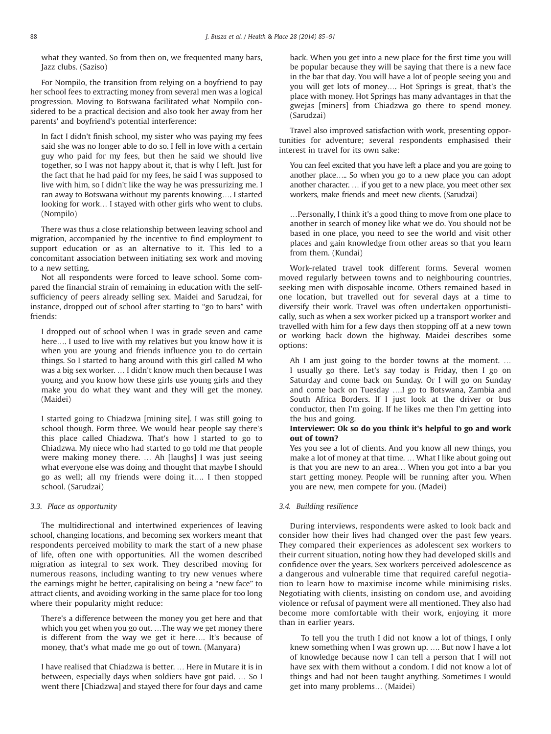what they wanted. So from then on, we frequented many bars, Jazz clubs. (Saziso)

For Nompilo, the transition from relying on a boyfriend to pay her school fees to extracting money from several men was a logical progression. Moving to Botswana facilitated what Nompilo considered to be a practical decision and also took her away from her parents' and boyfriend's potential interference:

In fact I didn't finish school, my sister who was paying my fees said she was no longer able to do so. I fell in love with a certain guy who paid for my fees, but then he said we should live together, so I was not happy about it, that is why I left. Just for the fact that he had paid for my fees, he said I was supposed to live with him, so I didn't like the way he was pressurizing me. I ran away to Botswana without my parents knowing…. I started looking for work… I stayed with other girls who went to clubs. (Nompilo)

There was thus a close relationship between leaving school and migration, accompanied by the incentive to find employment to support education or as an alternative to it. This led to a concomitant association between initiating sex work and moving to a new setting.

Not all respondents were forced to leave school. Some compared the financial strain of remaining in education with the selfsufficiency of peers already selling sex. Maidei and Sarudzai, for instance, dropped out of school after starting to "go to bars" with friends:

I dropped out of school when I was in grade seven and came here.... I used to live with my relatives but you know how it is when you are young and friends influence you to do certain things. So I started to hang around with this girl called M who was a big sex worker. … I didn't know much then because I was young and you know how these girls use young girls and they make you do what they want and they will get the money. (Maidei)

I started going to Chiadzwa [mining site]. I was still going to school though. Form three. We would hear people say there's this place called Chiadzwa. That's how I started to go to Chiadzwa. My niece who had started to go told me that people were making money there. … Ah [laughs] I was just seeing what everyone else was doing and thought that maybe I should go as well; all my friends were doing it…. I then stopped school. (Sarudzai)

## 3.3. Place as opportunity

The multidirectional and intertwined experiences of leaving school, changing locations, and becoming sex workers meant that respondents perceived mobility to mark the start of a new phase of life, often one with opportunities. All the women described migration as integral to sex work. They described moving for numerous reasons, including wanting to try new venues where the earnings might be better, capitalising on being a "new face" to attract clients, and avoiding working in the same place for too long where their popularity might reduce:

There's a difference between the money you get here and that which you get when you go out. …The way we get money there is different from the way we get it here…. It's because of money, that's what made me go out of town. (Manyara)

I have realised that Chiadzwa is better. … Here in Mutare it is in between, especially days when soldiers have got paid. … So I went there [Chiadzwa] and stayed there for four days and came

back. When you get into a new place for the first time you will be popular because they will be saying that there is a new face in the bar that day. You will have a lot of people seeing you and you will get lots of money…. Hot Springs is great, that's the place with money. Hot Springs has many advantages in that the gwejas [miners] from Chiadzwa go there to spend money. (Sarudzai)

Travel also improved satisfaction with work, presenting opportunities for adventure; several respondents emphasised their interest in travel for its own sake:

You can feel excited that you have left a place and you are going to another place….. So when you go to a new place you can adopt another character. … if you get to a new place, you meet other sex workers, make friends and meet new clients. (Sarudzai)

…Personally, I think it's a good thing to move from one place to another in search of money like what we do. You should not be based in one place, you need to see the world and visit other places and gain knowledge from other areas so that you learn from them. (Kundai)

Work-related travel took different forms. Several women moved regularly between towns and to neighbouring countries, seeking men with disposable income. Others remained based in one location, but travelled out for several days at a time to diversify their work. Travel was often undertaken opportunistically, such as when a sex worker picked up a transport worker and travelled with him for a few days then stopping off at a new town or working back down the highway. Maidei describes some options:

Ah I am just going to the border towns at the moment. … I usually go there. Let's say today is Friday, then I go on Saturday and come back on Sunday. Or I will go on Sunday and come back on Tuesday ….I go to Botswana, Zambia and South Africa Borders. If I just look at the driver or bus conductor, then I'm going. If he likes me then I'm getting into the bus and going.

## Interviewer: Ok so do you think it's helpful to go and work out of town?

Yes you see a lot of clients. And you know all new things, you make a lot of money at that time. … What I like about going out is that you are new to an area… When you got into a bar you start getting money. People will be running after you. When you are new, men compete for you. (Madei)

## 3.4. Building resilience

During interviews, respondents were asked to look back and consider how their lives had changed over the past few years. They compared their experiences as adolescent sex workers to their current situation, noting how they had developed skills and confidence over the years. Sex workers perceived adolescence as a dangerous and vulnerable time that required careful negotiation to learn how to maximise income while minimising risks. Negotiating with clients, insisting on condom use, and avoiding violence or refusal of payment were all mentioned. They also had become more comfortable with their work, enjoying it more than in earlier years.

To tell you the truth I did not know a lot of things, I only knew something when I was grown up. …. But now I have a lot of knowledge because now I can tell a person that I will not have sex with them without a condom. I did not know a lot of things and had not been taught anything. Sometimes I would get into many problems… (Maidei)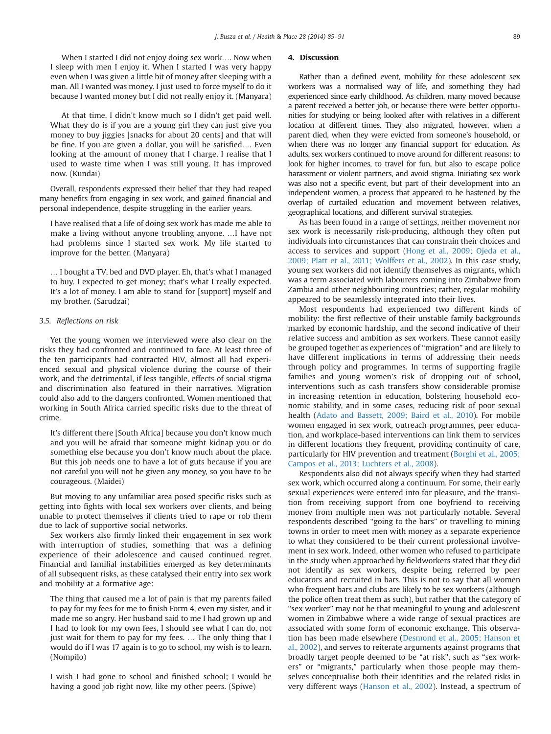When I started I did not enjoy doing sex work…. Now when I sleep with men I enjoy it. When I started I was very happy even when I was given a little bit of money after sleeping with a man. All I wanted was money. I just used to force myself to do it because I wanted money but I did not really enjoy it. (Manyara)

At that time, I didn't know much so I didn't get paid well. What they do is if you are a young girl they can just give you money to buy jiggies [snacks for about 20 cents] and that will be fine. If you are given a dollar, you will be satisfied…. Even looking at the amount of money that I charge, I realise that I used to waste time when I was still young. It has improved now. (Kundai)

Overall, respondents expressed their belief that they had reaped many benefits from engaging in sex work, and gained financial and personal independence, despite struggling in the earlier years.

I have realised that a life of doing sex work has made me able to make a living without anyone troubling anyone. …I have not had problems since I started sex work. My life started to improve for the better. (Manyara)

… I bought a TV, bed and DVD player. Eh, that's what I managed to buy. I expected to get money; that's what I really expected. It's a lot of money. I am able to stand for [support] myself and my brother. (Sarudzai)

## 3.5. Reflections on risk

Yet the young women we interviewed were also clear on the risks they had confronted and continued to face. At least three of the ten participants had contracted HIV, almost all had experienced sexual and physical violence during the course of their work, and the detrimental, if less tangible, effects of social stigma and discrimination also featured in their narratives. Migration could also add to the dangers confronted. Women mentioned that working in South Africa carried specific risks due to the threat of crime.

It's different there [South Africa] because you don't know much and you will be afraid that someone might kidnap you or do something else because you don't know much about the place. But this job needs one to have a lot of guts because if you are not careful you will not be given any money, so you have to be courageous. (Maidei)

But moving to any unfamiliar area posed specific risks such as getting into fights with local sex workers over clients, and being unable to protect themselves if clients tried to rape or rob them due to lack of supportive social networks.

Sex workers also firmly linked their engagement in sex work with interruption of studies, something that was a defining experience of their adolescence and caused continued regret. Financial and familial instabilities emerged as key determinants of all subsequent risks, as these catalysed their entry into sex work and mobility at a formative age:

The thing that caused me a lot of pain is that my parents failed to pay for my fees for me to finish Form 4, even my sister, and it made me so angry. Her husband said to me I had grown up and I had to look for my own fees, I should see what I can do, not just wait for them to pay for my fees. … The only thing that I would do if I was 17 again is to go to school, my wish is to learn. (Nompilo)

I wish I had gone to school and finished school; I would be having a good job right now, like my other peers. (Spiwe)

## 4. Discussion

Rather than a defined event, mobility for these adolescent sex workers was a normalised way of life, and something they had experienced since early childhood. As children, many moved because a parent received a better job, or because there were better opportunities for studying or being looked after with relatives in a different location at different times. They also migrated, however, when a parent died, when they were evicted from someone's household, or when there was no longer any financial support for education. As adults, sex workers continued to move around for different reasons: to look for higher incomes, to travel for fun, but also to escape police harassment or violent partners, and avoid stigma. Initiating sex work was also not a specific event, but part of their development into an independent women, a process that appeared to be hastened by the overlap of curtailed education and movement between relatives, geographical locations, and different survival strategies.

As has been found in a range of settings, neither movement nor sex work is necessarily risk-producing, although they often put individuals into circumstances that can constrain their choices and access to services and support [\(Hong et al., 2009; Ojeda et al.,](#page-6-0) [2009; Platt et al., 2011; Wolffers et al., 2002](#page-6-0)). In this case study, young sex workers did not identify themselves as migrants, which was a term associated with labourers coming into Zimbabwe from Zambia and other neighbouring countries; rather, regular mobility appeared to be seamlessly integrated into their lives.

Most respondents had experienced two different kinds of mobility: the first reflective of their unstable family backgrounds marked by economic hardship, and the second indicative of their relative success and ambition as sex workers. These cannot easily be grouped together as experiences of "migration" and are likely to have different implications in terms of addressing their needs through policy and programmes. In terms of supporting fragile families and young women's risk of dropping out of school, interventions such as cash transfers show considerable promise in increasing retention in education, bolstering household economic stability, and in some cases, reducing risk of poor sexual health [\(Adato and Bassett, 2009; Baird et al., 2010\)](#page-5-0). For mobile women engaged in sex work, outreach programmes, peer education, and workplace-based interventions can link them to services in different locations they frequent, providing continuity of care, particularly for HIV prevention and treatment ([Borghi et al., 2005;](#page-5-0) [Campos et al., 2013; Luchters et al., 2008](#page-6-0)).

Respondents also did not always specify when they had started sex work, which occurred along a continuum. For some, their early sexual experiences were entered into for pleasure, and the transition from receiving support from one boyfriend to receiving money from multiple men was not particularly notable. Several respondents described "going to the bars" or travelling to mining towns in order to meet men with money as a separate experience to what they considered to be their current professional involvement in sex work. Indeed, other women who refused to participate in the study when approached by fieldworkers stated that they did not identify as sex workers, despite being referred by peer educators and recruited in bars. This is not to say that all women who frequent bars and clubs are likely to be sex workers (although the police often treat them as such), but rather that the category of "sex worker" may not be that meaningful to young and adolescent women in Zimbabwe where a wide range of sexual practices are associated with some form of economic exchange. This observation has been made elsewhere ([Desmond et al., 2005; Hanson et](#page-5-0) [al., 2002](#page-5-0)), and serves to reiterate arguments against programs that broadly target people deemed to be "at risk", such as "sex workers" or "migrants," particularly when those people may themselves conceptualise both their identities and the related risks in very different ways ([Hanson et al., 2002\)](#page-5-0). Instead, a spectrum of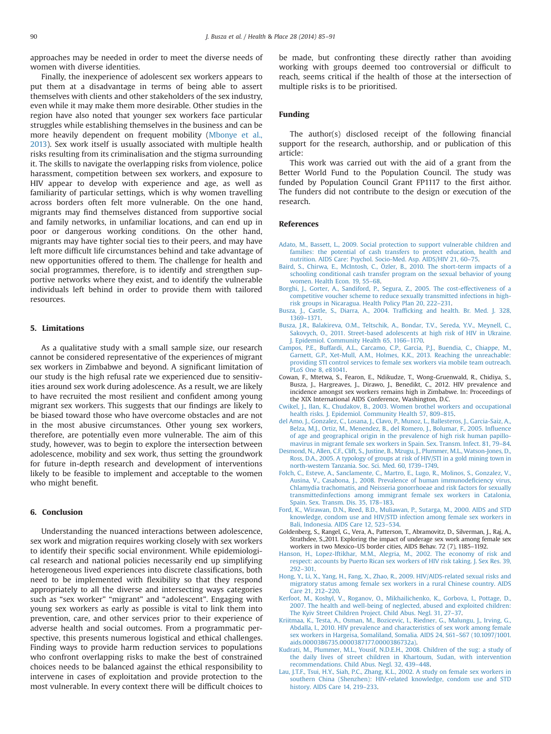<span id="page-5-0"></span>approaches may be needed in order to meet the diverse needs of women with diverse identities.

Finally, the inexperience of adolescent sex workers appears to put them at a disadvantage in terms of being able to assert themselves with clients and other stakeholders of the sex industry, even while it may make them more desirable. Other studies in the region have also noted that younger sex workers face particular struggles while establishing themselves in the business and can be more heavily dependent on frequent mobility ([Mbonye et al.,](#page-6-0) [2013\)](#page-6-0). Sex work itself is usually associated with multiple health risks resulting from its criminalisation and the stigma surrounding it. The skills to navigate the overlapping risks from violence, police harassment, competition between sex workers, and exposure to HIV appear to develop with experience and age, as well as familiarity of particular settings, which is why women travelling across borders often felt more vulnerable. On the one hand, migrants may find themselves distanced from supportive social and family networks, in unfamiliar locations, and can end up in poor or dangerous working conditions. On the other hand, migrants may have tighter social ties to their peers, and may have left more difficult life circumstances behind and take advantage of new opportunities offered to them. The challenge for health and social programmes, therefore, is to identify and strengthen supportive networks where they exist, and to identify the vulnerable individuals left behind in order to provide them with tailored resources.

# 5. Limitations

As a qualitative study with a small sample size, our research cannot be considered representative of the experiences of migrant sex workers in Zimbabwe and beyond. A significant limitation of our study is the high refusal rate we experienced due to sensitivities around sex work during adolescence. As a result, we are likely to have recruited the most resilient and confident among young migrant sex workers. This suggests that our findings are likely to be biased toward those who have overcome obstacles and are not in the most abusive circumstances. Other young sex workers, therefore, are potentially even more vulnerable. The aim of this study, however, was to begin to explore the intersection between adolescence, mobility and sex work, thus setting the groundwork for future in-depth research and development of interventions likely to be feasible to implement and acceptable to the women who might benefit.

## 6. Conclusion

Understanding the nuanced interactions between adolescence, sex work and migration requires working closely with sex workers to identify their specific social environment. While epidemiological research and national policies necessarily end up simplifying heterogeneous lived experiences into discrete classifications, both need to be implemented with flexibility so that they respond appropriately to all the diverse and intersecting ways categories such as "sex worker" "migrant" and "adolescent". Engaging with young sex workers as early as possible is vital to link them into prevention, care, and other services prior to their experience of adverse health and social outcomes. From a programmatic perspective, this presents numerous logistical and ethical challenges. Finding ways to provide harm reduction services to populations who confront overlapping risks to make the best of constrained choices needs to be balanced against the ethical responsibility to intervene in cases of exploitation and provide protection to the most vulnerable. In every context there will be difficult choices to be made, but confronting these directly rather than avoiding working with groups deemed too controversial or difficult to reach, seems critical if the health of those at the intersection of multiple risks is to be prioritised.

## Funding

The author(s) disclosed receipt of the following financial support for the research, authorship, and or publication of this article:

This work was carried out with the aid of a grant from the Better World Fund to the Population Council. The study was funded by Population Council Grant FP1117 to the first aithor. The funders did not contribute to the design or execution of the research.

#### References

- [Adato, M., Bassett, L., 2009. Social protection to support vulnerable children and](http://refhub.elsevier.com/S1353-8292(14)00049-5/sbref1) [families: the potential of cash transfers to protect education, health and](http://refhub.elsevier.com/S1353-8292(14)00049-5/sbref1) [nutrition. AIDS Care: Psychol. Socio-Med. Asp. AIDS/HIV 21, 60](http://refhub.elsevier.com/S1353-8292(14)00049-5/sbref1)–75.
- [Baird, S., Chirwa, E., McIntosh, C., Özler, B., 2010. The short-term impacts of a](http://refhub.elsevier.com/S1353-8292(14)00049-5/sbref2) [schooling conditional cash transfer program on the sexual behavior of young](http://refhub.elsevier.com/S1353-8292(14)00049-5/sbref2) [women. Health Econ. 19, 55](http://refhub.elsevier.com/S1353-8292(14)00049-5/sbref2)–68.
- [Borghi, J., Gorter, A., Sandiford, P., Segura, Z., 2005. The cost-effectiveness of a](http://refhub.elsevier.com/S1353-8292(14)00049-5/sbref3) [competitive voucher scheme to reduce sexually transmitted infections in high](http://refhub.elsevier.com/S1353-8292(14)00049-5/sbref3)[risk groups in Nicaragua. Health Policy Plan 20, 222](http://refhub.elsevier.com/S1353-8292(14)00049-5/sbref3)–231.
- [Busza, J., Castle, S., Diarra, A., 2004. Traf](http://refhub.elsevier.com/S1353-8292(14)00049-5/sbref4)ficking and health. Br. Med. J. 328, 1369–[1371.](http://refhub.elsevier.com/S1353-8292(14)00049-5/sbref4)
- [Busza, J.R., Balakireva, O.M., Teltschik, A., Bondar, T.V., Sereda, Y.V., Meynell, C.,](http://refhub.elsevier.com/S1353-8292(14)00049-5/sbref5) [Sakovych, O., 2011. Street-based adolescents at high risk of HIV in Ukraine.](http://refhub.elsevier.com/S1353-8292(14)00049-5/sbref5) [J. Epidemiol. Community Health 65, 1166](http://refhub.elsevier.com/S1353-8292(14)00049-5/sbref5)–1170.
- [Campos, P.E., Buffardi, A.L., Carcamo, C.P., Garcia, P.J., Buendia, C., Chiappe, M.,](http://refhub.elsevier.com/S1353-8292(14)00049-5/sbref6) [Garnett, G.P., Xet-Mull, A.M., Holmes, K.K., 2013. Reaching the unreachable:](http://refhub.elsevier.com/S1353-8292(14)00049-5/sbref6) [providing STI control services to female sex workers via mobile team outreach.](http://refhub.elsevier.com/S1353-8292(14)00049-5/sbref6) [PLoS One 8, e81041.](http://refhub.elsevier.com/S1353-8292(14)00049-5/sbref6)
- Cowan, F., Mtetwa, S., Fearon, E., Ndikudze, T., Wong-Gruenwald, R., Chidiya, S., Busza, J., Hargreaves, J., Dirawo, J., Benedikt, C., 2012. HIV prevalence and incidence amongst sex workers remains high in Zimbabwe. In: Proceedings of the XIX International AIDS Conference, Washington, D.C.
- [Cwikel, J., Ilan, K., Chudakov, B., 2003. Women brothel workers and occupational](http://refhub.elsevier.com/S1353-8292(14)00049-5/sbref7) [health risks. J. Epidemiol. Community Health 57, 809](http://refhub.elsevier.com/S1353-8292(14)00049-5/sbref7)–815.
- [del Amo, J., Gonzalez, C., Losana, J., Clavo, P., Munoz, L., Ballesteros, J., Garcia-Saiz, A.,](http://refhub.elsevier.com/S1353-8292(14)00049-5/sbref8) [Belza, M.J., Ortiz, M., Menendez, B., del Romero, J., Bolumar, F., 2005. In](http://refhub.elsevier.com/S1353-8292(14)00049-5/sbref8)fluence [of age and geographical origin in the prevalence of high risk human papillo](http://refhub.elsevier.com/S1353-8292(14)00049-5/sbref8)[mavirus in migrant female sex workers in Spain. Sex. Transm. Infect. 81, 79](http://refhub.elsevier.com/S1353-8292(14)00049-5/sbref8)–84.
- [Desmond, N., Allen, C.F., Clift, S., Justine, B., Mzugu, J., Plummer, M.L., Watson-Jones, D.,](http://refhub.elsevier.com/S1353-8292(14)00049-5/sbref9) [Ross, D.A., 2005. A typology of groups at risk of HIV/STI in a gold mining town in](http://refhub.elsevier.com/S1353-8292(14)00049-5/sbref9) [north-western Tanzania. Soc. Sci. Med. 60, 1739](http://refhub.elsevier.com/S1353-8292(14)00049-5/sbref9)–1749.
- [Folch, C., Esteve, A., Sanclamente, C., Martro, E., Lugo, R., Molinos, S., Gonzalez, V.,](http://refhub.elsevier.com/S1353-8292(14)00049-5/sbref10) [Ausina, V., Casabona, J., 2008. Prevalence of human immunode](http://refhub.elsevier.com/S1353-8292(14)00049-5/sbref10)ficiency virus, [Chlamydia trachomatis, and Neisseria gonorrhoeae and risk factors for sexually](http://refhub.elsevier.com/S1353-8292(14)00049-5/sbref10) [transmittedinfections among immigrant female sex workers in Catalonia,](http://refhub.elsevier.com/S1353-8292(14)00049-5/sbref10) [Spain. Sex. Transm. Dis. 35, 178](http://refhub.elsevier.com/S1353-8292(14)00049-5/sbref10)–183.
- [Ford, K., Wirawan, D.N., Reed, B.D., Muliawan, P., Sutarga, M., 2000. AIDS and STD](http://refhub.elsevier.com/S1353-8292(14)00049-5/sbref11) [knowledge, condom use and HIV/STD infection among female sex workers in](http://refhub.elsevier.com/S1353-8292(14)00049-5/sbref11) [Bali, Indonesia. AIDS Care 12, 523](http://refhub.elsevier.com/S1353-8292(14)00049-5/sbref11)–534.
- Goldenberg, S., Rangel, G., Vera, A., Patterson, T., Abramovitz, D., Silverman, J., Raj, A., Strathdee, S.,2011. Exploring the impact of underage sex work among female sex workers in two Mexico–US border cities, AIDS Behav. 72 (7), 1185–1192.
- [Hanson, H., Lopez-Iftikhar, M.M., Alegria, M., 2002. The economy of risk and](http://refhub.elsevier.com/S1353-8292(14)00049-5/sbref12) [respect: accounts by Puerto Rican sex workers of HIV risk taking. J. Sex Res. 39,](http://refhub.elsevier.com/S1353-8292(14)00049-5/sbref12) 292–[301.](http://refhub.elsevier.com/S1353-8292(14)00049-5/sbref12)
- [Hong, Y., Li, X., Yang, H., Fang, X., Zhao, R., 2009. HIV/AIDS-related sexual risks and](http://refhub.elsevier.com/S1353-8292(14)00049-5/sbref13) [migratory status among female sex workers in a rural Chinese country. AIDS](http://refhub.elsevier.com/S1353-8292(14)00049-5/sbref13) [Care 21, 212](http://refhub.elsevier.com/S1353-8292(14)00049-5/sbref13)–220.
- [Kerfoot, M., Koshyl, V., Roganov, O., Mikhailichenko, K., Gorbova, I., Pottage, D.,](http://refhub.elsevier.com/S1353-8292(14)00049-5/sbref14) [2007. The health and well-being of neglected, abused and exploited children:](http://refhub.elsevier.com/S1353-8292(14)00049-5/sbref14) [The Kyiv Street Children Project. Child Abus. Negl. 31, 27](http://refhub.elsevier.com/S1353-8292(14)00049-5/sbref14)–37.
- [Kriitmaa, K., Testa, A., Osman, M., Bozicevic, I., Riedner, G., Malungu, J., Irving, G.,](http://refhub.elsevier.com/S1353-8292(14)00049-5/sbref15) [Abdalla, I., 2010. HIV prevalence and characteristics of sex work among female](http://refhub.elsevier.com/S1353-8292(14)00049-5/sbref15) [sex workers in Hargeisa, Somaliland, Somalia. AIDS 24, S61](http://refhub.elsevier.com/S1353-8292(14)00049-5/sbref15)–S67 (10.1097/1001. [aids.0000386735.0000387177.0000386732a\).](http://refhub.elsevier.com/S1353-8292(14)00049-5/sbref15)
- [Kudrati, M., Plummer, M.L., Yousif, N.D.E.H., 2008. Children of the sug: a study of](http://refhub.elsevier.com/S1353-8292(14)00049-5/sbref16) [the daily lives of street children in Khartoum, Sudan, with intervention](http://refhub.elsevier.com/S1353-8292(14)00049-5/sbref16) [recommendations. Child Abus. Negl. 32, 439](http://refhub.elsevier.com/S1353-8292(14)00049-5/sbref16)–448.
- [Lau, J.T.F., Tsui, H.Y., Siah, P.C., Zhang, K.L., 2002. A study on female sex workers in](http://refhub.elsevier.com/S1353-8292(14)00049-5/sbref17) [southern China \(Shenzhen\): HIV-related knowledge, condom use and STD](http://refhub.elsevier.com/S1353-8292(14)00049-5/sbref17) [history. AIDS Care 14, 219](http://refhub.elsevier.com/S1353-8292(14)00049-5/sbref17)–233.